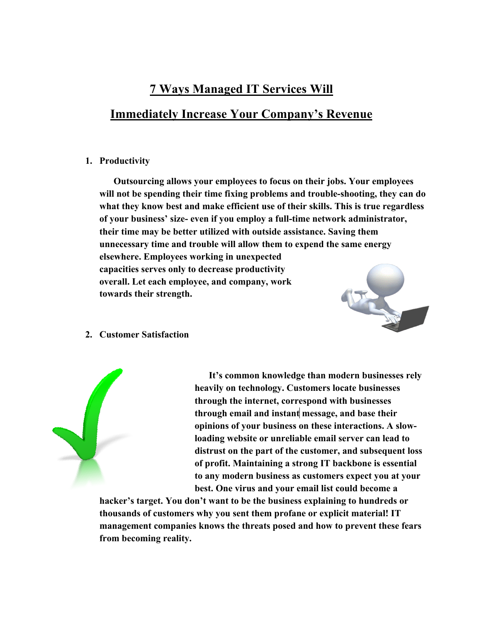# **7 Ways Managed IT Services Will Immediately Increase Your Company's Revenue**

## **1. Productivity**

**Outsourcing allows your employees to focus on their jobs. Your employees will not be spending their time fixing problems and trouble-shooting, they can do what they know best and make efficient use of their skills. This is true regardless of your business' size- even if you employ a full-time network administrator, their time may be better utilized with outside assistance. Saving them unnecessary time and trouble will allow them to expend the same energy elsewhere. Employees working in unexpected capacities serves only to decrease productivity overall. Let each employee, and company, work towards their strength.**



#### **2. Customer Satisfaction**



**It's common knowledge than modern businesses rely heavily on technology. Customers locate businesses through the internet, correspond with businesses through email and instant message, and base their opinions of your business on these interactions. A slowloading website or unreliable email server can lead to distrust on the part of the customer, and subsequent loss of profit. Maintaining a strong IT backbone is essential to any modern business as customers expect you at your best. One virus and your email list could become a** 

**hacker's target. You don't want to be the business explaining to hundreds or thousands of customers why you sent them profane or explicit material! IT management companies knows the threats posed and how to prevent these fears from becoming reality.**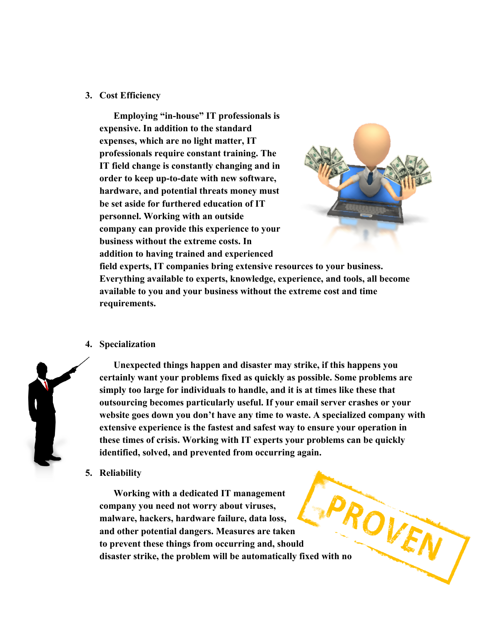#### **3. Cost Efficiency**

**Employing "in-house" IT professionals is expensive. In addition to the standard expenses, which are no light matter, IT professionals require constant training. The IT field change is constantly changing and in order to keep up-to-date with new software, hardware, and potential threats money must be set aside for furthered education of IT personnel. Working with an outside company can provide this experience to your business without the extreme costs. In addition to having trained and experienced** 



**field experts, IT companies bring extensive resources to your business. Everything available to experts, knowledge, experience, and tools, all become available to you and your business without the extreme cost and time requirements.**

### **4. Specialization**



**Unexpected things happen and disaster may strike, if this happens you certainly want your problems fixed as quickly as possible. Some problems are simply too large for individuals to handle, and it is at times like these that outsourcing becomes particularly useful. If your email server crashes or your website goes down you don't have any time to waste. A specialized company with extensive experience is the fastest and safest way to ensure your operation in these times of crisis. Working with IT experts your problems can be quickly identified, solved, and prevented from occurring again.**

**5. Reliability**

**Working with a dedicated IT management company you need not worry about viruses, malware, hackers, hardware failure, data loss, and other potential dangers. Measures are taken to prevent these things from occurring and, should**  Working with a well company you need not worry about virusely,<br>malware, hackers, hardware failure, data loss,<br>and other potential dangers. Measures are taken<br>to prevent these things from occurring and, should<br>disaster stri